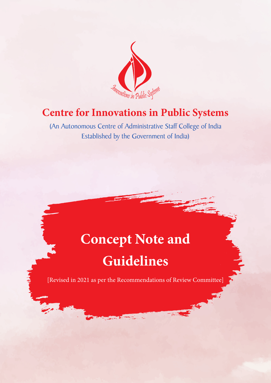

# **Centre for Innovations in Public Systems**

(An Autonomous Centre of Administrative Staff College of India Established by the Government of India)

# **Concept Note and Guidelines**

[Revised in 2021 as per the Recommendations of Review Committee]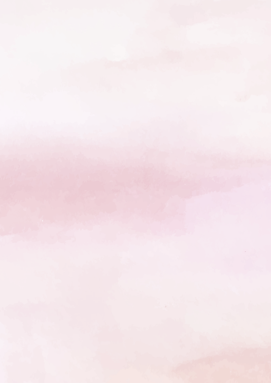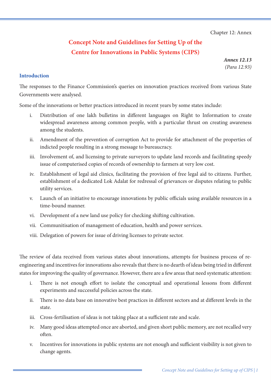Chapter 12: Annex

# **Concept Note and Guidelines for Setting Up of the Centre for Innovations in Public Systems (CIPS)**

*Annex 12.13 (Para 12.93)*

#### **Introduction**

The responses to the Finance Commission's queries on innovation practices received from various State Governments were analysed.

Some of the innovations or better practices introduced in recent years by some states include:

- i. Distribution of one lakh bulletins in different languages on Right to Information to create widespread awareness among common people, with a particular thrust on creating awareness among the students.
- ii. Amendment of the prevention of corruption Act to provide for attachment of the properties of indicted people resulting in a strong message to bureaucracy.
- iii. Involvement of, and licensing to private surveyors to update land records and facilitating speedy issue of computerised copies of records of ownership to farmers at very low cost.
- iv. Establishment of legal aid clinics, facilitating the provision of free legal aid to citizens. Further, establishment of a dedicated Lok Adalat for redressal of grievances or disputes relating to public utility services.
- v. Launch of an initiative to encourage innovations by public officials using available resources in a time-bound manner.
- vi. Development of a new land use policy for checking shifting cultivation.
- vii. Communitisation of management of education, health and power services.
- viii. Delegation of powers for issue of driving licenses to private sector.

The review of data received from various states about innovations, attempts for business process of reengineering and incentives for innovations also reveals that there is no dearth of ideas being tried in different states for improving the quality of governance. However, there are a few areas that need systematic attention:

- i. There is not enough effort to isolate the conceptual and operational lessons from different experiments and successful policies across the state.
- ii. There is no data base on innovative best practices in different sectors and at different levels in the state.
- iii. Cross-fertilisation of ideas is not taking place at a sufficient rate and scale.
- iv. Many good ideas attempted once are aborted, and given short public memory, are not recalled very often.
- v. Incentives for innovations in public systems are not enough and sufficient visibility is not given to change agents.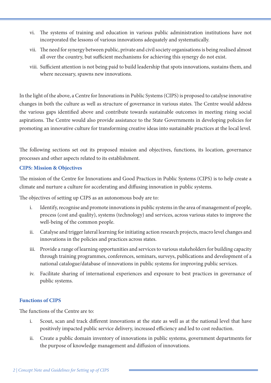- vi. The systems of training and education in various public administration institutions have not incorporated the lessons of various innovations adequately and systematically.
- vii. The need for synergy between public, private and civil society organisations is being realised almost all over the country, but sufficient mechanisms for achieving this synergy do not exist.
- viii. Sufficient attention is not being paid to build leadership that spots innovations, sustains them, and where necessary, spawns new innovations.

In the light of the above, a Centre for Innovations in Public Systems (CIPS) is proposed to catalyse innovative changes in both the culture as well as structure of governance in various states. The Centre would address the various gaps identified above and contribute towards sustainable outcomes in meeting rising social aspirations. The Centre would also provide assistance to the State Governments in developing policies for promoting an innovative culture for transforming creative ideas into sustainable practices at the local level.

The following sections set out its proposed mission and objectives, functions, its location, governance processes and other aspects related to its establishment.

#### **CIPS: Mission & Objectives**

The mission of the Centre for Innovations and Good Practices in Public Systems (CIPS) is to help create a climate and nurture a culture for accelerating and diffusing innovation in public systems.

The objectives of setting up CIPS as an autonomous body are to:

- i. Identify, recognise and promote innovations in public systems in the area of management of people, process (cost and quality), systems (technology) and services, across various states to improve the well-being of the common people.
- ii. Catalyse and trigger lateral learning for initiating action research projects, macro level changes and innovations in the policies and practices across states.
- iii. Provide a range of learning opportunities and services to various stakeholders for building capacity through training programmes, conferences, seminars, surveys, publications and development of a national catalogue/database of innovations in public systems for improving public services.
- iv. Facilitate sharing of international experiences and exposure to best practices in governance of public systems.

#### **Functions of CIPS**

The functions of the Centre are to:

- i. Scout, scan and track different innovations at the state as well as at the national level that have positively impacted public service delivery, increased efficiency and led to cost reduction.
- ii. Create a public domain inventory of innovations in public systems, government departments for the purpose of knowledge management and diffusion of innovations.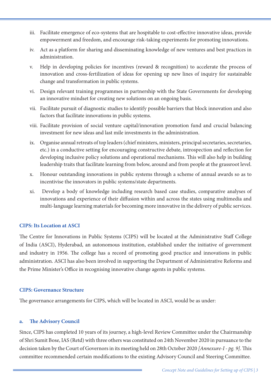- iii. Facilitate emergence of eco-systems that are hospitable to cost-effective innovative ideas, provide empowerment and freedom, and encourage risk-taking experiments for promoting innovations.
- iv. Act as a platform for sharing and disseminating knowledge of new ventures and best practices in administration.
- v. Help in developing policies for incentives (reward & recognition) to accelerate the process of innovation and cross-fertilization of ideas for opening up new lines of inquiry for sustainable change and transformation in public systems.
- vi. Design relevant training programmes in partnership with the State Governments for developing an innovative mindset for creating new solutions on an ongoing basis.
- vii. Facilitate pursuit of diagnostic studies to identify possible barriers that block innovation and also factors that facilitate innovations in public systems.
- viii. Facilitate provision of social venture capital/innovation promotion fund and crucial balancing investment for new ideas and last mile investments in the administration.
- ix. Organise annual retreats of top leaders (chief ministers, ministers, principal secretaries, secretaries, etc.) in a conductive setting for encouraging constructive debate, introspection and reflection for developing inclusive policy solutions and operational mechanisms. This will also help in building leadership traits that facilitate learning from below, around and from people at the grassroot level.
- x. Honour outstanding innovations in public systems through a scheme of annual awards so as to incentivise the innovators in public systems/state departments.
- xi. Develop a body of knowledge including research based case studies, comparative analyses of innovations and experience of their diffusion within and across the states using multimedia and multi-language learning materials for becoming more innovative in the delivery of public services.

#### **CIPS: Its Location at ASCI**

The Centre for Innovations in Public Systems (CIPS) will be located at the Administrative Staff College of India (ASCI), Hyderabad, an autonomous institution, established under the initiative of government and industry in 1956. The college has a record of promoting good practice and innovations in public administration. ASCI has also been involved in supporting the Department of Administrative Reforms and the Prime Minister's Office in recognising innovative change agents in public systems.

#### **CIPS: Governance Structure**

The governance arrangements for CIPS, which will be located in ASCI, would be as under:

#### **a. The Advisory Council**

Since, CIPS has completed 10 years of its journey, a high-level Review Committee under the Chairmanship of Shri Sumit Bose, IAS (Retd) with three others was constituted on 24th November 2020 in pursuance to the decision taken by the Court of Governors in its meeting held on 28th October 2020 *[Annexure-I - pg. 9]*. This committee recommended certain modifications to the existing Advisory Council and Steering Committee.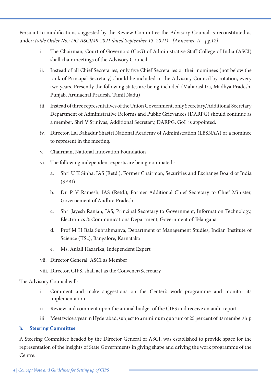Persuant to modifications suggested by the Review Committee the Advisory Council is reconstituted as under: *(vide Order No.: DG ASCI/49-2021 dated September 13, 2021) - [Annexure-II - pg.12]*

- i. The Chairman, Court of Governors (CoG) of Administrative Staff College of India (ASCI) shall chair meetings of the Advisory Council.
- ii. Instead of all Chief Secretaries, only five Chief Secretaries or their nominees (not below the rank of Principal Secretary) should be included in the Advisory Council by rotation, every two years. Presently the following states are being included (Maharashtra, Madhya Pradesh, Punjab, Arunachal Pradesh, Tamil Nadu)
- iii. Instead of three representatives of the Union Government, only Secretary/Additional Secretary Department of Administrative Reforms and Public Grievances (DARPG) should continue as a member. Shri V Srinivas, Additional Secretary, DARPG, GoI is appointed.
- iv. Director, Lal Bahadur Shastri National Academy of Administration (LBSNAA) or a nominee to represent in the meeting.
- v. Chairman, National Innovation Foundation
- vi. The following independent experts are being nominated :
	- a. Shri U K Sinha, IAS (Retd.), Former Chairman, Securities and Exchange Board of India (SEBI)
	- b. Dr. P V Ramesh, IAS (Retd.), Former Additional Chief Secretary to Chief Minister, Governement of Andhra Pradesh
	- c. Shri Jayesh Ranjan, IAS, Principal Secretary to Government, Information Technology, Electronics & Communications Department, Government of Telangana
	- d. Prof M H Bala Subrahmanya, Department of Management Studies, Indian Institute of Science (IISc), Bangalore, Karnataka
	- e. Ms. Anjali Hazarika, Independent Expert
- vii. Director General, ASCI as Member
- viii. Director, CIPS, shall act as the Convener/Secretary

The Advisory Council will:

- i. Comment and make suggestions on the Center's work programme and monitor its implementation
- ii. Review and comment upon the annual budget of the CIPS and receive an audit report
- iii. Meet twice a year in Hyderabad, subject to a minimum quorum of 25 per cent of its membership

#### **b. Steering Committee**

A Steering Committee headed by the Director General of ASCI, was established to provide space for the representation of the insights of State Governments in giving shape and driving the work programme of the Centre.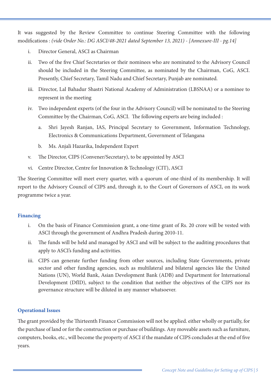It was suggested by the Review Committee to continue Steering Committee with the following modifications : *(vide Order No.: DG ASCI/48-2021 dated September 13, 2021) - [Annexure-III - pg.14]*

- i. Director General, ASCI as Chairman
- ii. Two of the five Chief Secretaries or their nominees who are nominated to the Advisory Council should be included in the Steering Committee, as nominated by the Chairman, CoG, ASCI. Presently, Chief Secretary, Tamil Nadu and Chief Secretary, Punjab are nominated.
- iii. Director, Lal Bahadur Shastri National Academy of Administration (LBSNAA) or a nominee to represent in the meeting
- iv. Two independent experts (of the four in the Advisory Council) will be nominated to the Steering Committee by the Chairman, CoG, ASCI. The following experts are being included :
	- a. Shri Jayesh Ranjan, IAS, Principal Secretary to Government, Information Technology, Electronics & Communications Department, Government of Telangana
	- b. Ms. Anjali Hazarika, Independent Expert
- v. The Director, CIPS (Convener/Secretary), to be appointed by ASCI
- vi. Centre Director, Centre for Innovation & Technology (CIT), ASCI

The Steering Committee will meet every quarter, with a quorum of one-third of its membership. It will report to the Advisory Council of CIPS and, through it, to the Court of Governors of ASCI, on its work programme twice a year.

#### **Financing**

- i. On the basis of Finance Commission grant, a one-time grant of Rs. 20 crore will be vested with ASCI through the government of Andhra Pradesh during 2010-11.
- ii. The funds will be held and managed by ASCI and will be subject to the auditing procedures that apply to ASCI's funding and activities.
- iii. CIPS can generate further funding from other sources, including State Governments, private sector and other funding agencies, such as multilateral and bilateral agencies like the United Nations (UN), World Bank, Asian Development Bank (ADB) and Department for International Development (DfID), subject to the condition that neither the objectives of the CIPS nor its governance structure will be diluted in any manner whatsoever.

#### **Operational Issues**

The grant provided by the Thirteenth Finance Commission will not be applied. either wholly or partially, for the purchase of land or for the construction or purchase of buildings. Any moveable assets such as furniture, computers, books, etc., will become the property of ASCI if the mandate of CIPS concludes at the end of five years.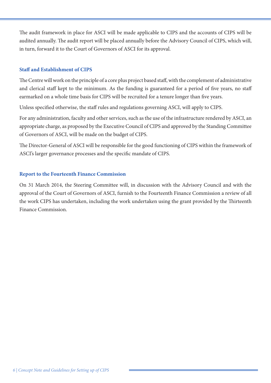The audit framework in place for ASCI will be made applicable to CIPS and the accounts of CIPS will be audited annually. The audit report will be placed annually before the Advisory Council of CIPS, which will, in turn, forward it to the Court of Governors of ASCI for its approval.

#### **Staff and Establishment of CIPS**

The Centre will work on the principle of a core plus project based staff, with the complement of administrative and clerical staff kept to the minimum. As the funding is guaranteed for a period of five years, no staff earmarked on a whole time basis for CIPS will be recruited for a tenure longer than five years.

Unless specified otherwise, the staff rules and regulations governing ASCI, will apply to CIPS.

For any administration, faculty and other services, such as the use of the infrastructure rendered by ASCI, an appropriate charge, as proposed by the Executive Council of CIPS and approved by the Standing Committee of Governors of ASCI, will be made on the budget of CIPS.

The Director-General of ASCI will be responsible for the good functioning of CIPS within the framework of ASCI's larger governance processes and the specific mandate of CIPS.

#### **Report to the Fourteenth Finance Commission**

On 31 March 2014, the Steering Committee will, in discussion with the Advisory Council and with the approval of the Court of Governors of ASCI, furnish to the Fourteenth Finance Commission a review of all the work CIPS has undertaken, including the work undertaken using the grant provided by the Thirteenth Finance Commission.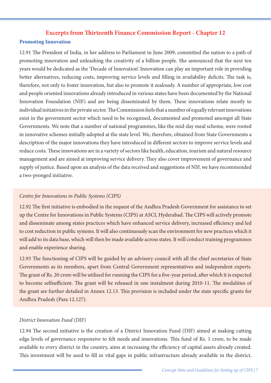### **Excerpts from Thirteenth Finance Commission Report - Chapter 12 Promoting Innovation**

12.91 The President of India, in her address to Parliament in June 2009, committed the nation to a path of promoting innovation and unleashing the creativity of a billion people. She announced that the next ten years would be dedicated as the 'Decade of Innovation'. Innovation can play an important role in providing better alternatives, reducing costs, improving service levels and filling in availability deficits. The task is, therefore, not only to foster innovation, but also to promote it zealously. A number of appropriate, low cost and people oriented innovations already introduced in various states have been documented by the National Innovation Foundation (NIF) and are being disseminated by them. These innovations relate mostly to individual initiatives in the private sector. The Commission feels that a number of equally relevant innovations exist in the government sector which need to be recognised, documented and promoted amongst all State Governments. We note that a number of national programmes, like the mid-day meal scheme, were rooted in innovative schemes initially adopted at the state level. We, therefore, obtained from State Governments a description of the major innovations they have introduced in different sectors to improve service levels and reduce costs. These innovations are in a variety of sectors like health, education, tourism and natural resource management and are aimed at improving service delivery. They also cover improvement of governance and supply of justice. Based upon an analysis of the data received and suggestions of NIF, we have recommended a two-pronged initiative.

#### *Centre for Innovations in Public Systems (CIPS)*

12.92 The first initiative is embodied in the request of the Andhra Pradesh Government for assistance to set up the Centre for Innovations in Public Systems (CIPS) at ASCI, Hyderabad. The CIPS will actively promote and disseminate among states practices which have enhanced service delivery, increased efficiency and led to cost reduction in public systems. It will also continuously scan the environment for new practices which it will add to its data base, which will then be made available across states. It will conduct training programmes and enable experience sharing.

12.93 The functioning of CIPS will be guided by an advisory council with all the chief secretaries of State Governments as its members, apart from Central Government representatives and independent experts. The grant of Rs. 20 crore will be utilised for running the CIPS for a five-year period, after which it is expected to become selfsufficient. The grant will be released in one instalment during 2010-11. The modalities of the grant are further detailed in Annex 12.13. This provision is included under the state specific grants for Andhra Pradesh (Para 12.127).

#### *District Innovation Fund (DIF)*

12.94 The second initiative is the creation of a District Innovation Fund (DIF) aimed at making cutting edge levels of governance responsive to felt needs and innovations. This fund of Rs. 1 crore, to be made available to every district in the country, aims at increasing the efficiency of capital assets already created. This investment will be used to fill in vital gaps in public infrastructure already available in the district,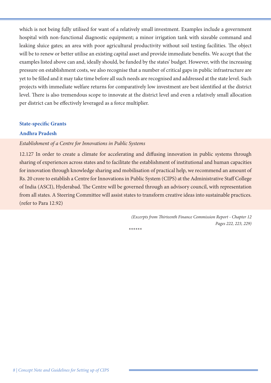which is not being fully utilised for want of a relatively small investment. Examples include a government hospital with non-functional diagnostic equipment; a minor irrigation tank with sizeable command and leaking sluice gates; an area with poor agricultural productivity without soil testing facilities. The object will be to renew or better utilise an existing capital asset and provide immediate benefits. We accept that the examples listed above can and, ideally should, be funded by the states' budget. However, with the increasing pressure on establishment costs, we also recognise that a number of critical gaps in public infrastructure are yet to be filled and it may take time before all such needs are recognised and addressed at the state level. Such projects with immediate welfare returns for comparatively low investment are best identified at the district level. There is also tremendous scope to innovate at the district level and even a relatively small allocation per district can be effectively leveraged as a force multiplier.

#### **State-specific Grants**

#### **Andhra Pradesh**

#### *Establishment of a Centre for Innovations in Public Systems*

12.127 In order to create a climate for accelerating and diffusing innovation in public systems through sharing of experiences across states and to facilitate the establishment of institutional and human capacities for innovation through knowledge sharing and mobilisation of practical help, we recommend an amount of Rs. 20 crore to establish a Centre for Innovations in Public System (CIPS) at the Administrative Staff College of India (ASCI), Hyderabad. The Centre will be governed through an advisory council, with representation from all states. A Steering Committee will assist states to transform creative ideas into sustainable practices. (refer to Para 12.92)

> *(Excerpts from Thirteenth Finance Commission Report - Chapter 12 Pages 222, 223, 229)*

\*\*\*\*\*\*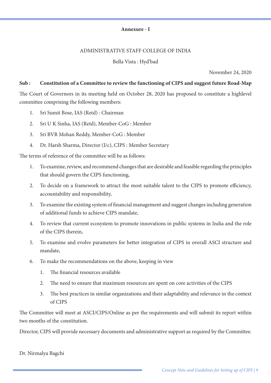#### **Annexure - I**

#### ADMINISTRATIVE STAFF COLLEGE OF INDIA

Bella Vista : Hyd'bad

November 24, 2020

#### **Sub : Constitution of a Committee to review the functioning of CIPS and suggest future Road-Map**

The Court of Governors in its meeting held on October 28, 2020 has proposed to constitute a highlevel committee comprising the following members:

- 1. Sri Sumit Bose, IAS (Retd) : Chairman
- 2. Sri U K Sinha, IAS (Retd), Member-CoG : Member
- 3. Sri BVR Mohan Reddy, Member-CoG : Member
- 4. Dr. Harsh Sharma, Director (I/c), CIPS : Member Secretary

The terms of reference of the committee will be as follows:

- 1. To examine, review, and recommend changes that are desirable and feasible regarding the principles that should govern the CIPS functioning,
- 2. To decide on a framework to attract the most suitable talent to the CIPS to promote efficiency, accountability and responsibility,
- 3. To examine the existing system of financial management and suggest changes including generation of additional funds to achieve CIPS mandate,
- 4. To review that current ecosystem to promote innovations in public systems in India and the role of the CIPS therein,
- 5. To examine and evolve parameters for better integration of CIPS in overall ASCI structure and mandate,
- 6. To make the recommendations on the above, keeping in view
	- 1. The financial resources available
	- 2. The need to ensure that maximum resources are spent on core activities of the CIPS
	- 3. The best practices in similar organizations and their adaptability and relevance in the context of CIPS

The Committee will meet at ASCI/CIPS/Online as per the requirements and will submit its report within two months of the constitution.

Director, CIPS will provide necessary documents and administrative support as required by the Committee.

Dr. Nirmalya Bagchi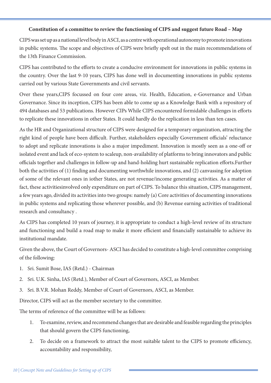#### **Constitution of a committee to review the functioning of CIPS and suggest future Road – Map**

CIPS was set up as a national level body in ASCI, as a centre with operational autonomy to promote innovations in public systems. The scope and objectives of CIPS were briefly spelt out in the main recommendations of the 13th Finance Commission.

CIPS has contributed to the efforts to create a conducive environment for innovations in public systems in the country. Over the last 9-10 years, CIPS has done well in documenting innovations in public systems carried out by various State Governments and civil servants.

Over these years,CIPS focussed on four core areas, viz. Health, Education, e-Governance and Urban Governance. Since its inception, CIPS has been able to come up as a Knowledge Bank with a repository of 494 databases and 53 publications. However CIPs While CIPS encountered formidable challenges in efforts to replicate these innovations in other States. It could hardly do the replication in less than ten cases.

As the HR and Organizational structure of CIPS were designed for a temporary organization, attracting the right kind of people have been difficult. Further, stakeholders especially Government officials' reluctance to adopt and replicate innovations is also a major impediment. Innovation is mostly seen as a one-off or isolated event and lack of eco-system to scaleup, non-availability of platforms to bring innovators and public officials together and challenges in follow-up and hand-holding hurt sustainable replication efforts.Further both the activities of (1) finding and documenting worthwhile innovations, and (2) canvassing for adoption of some of the relevant ones in iother States, are not revenue/income generating activities. As a matter of fact, these activitiesinvolved only expenditure on part of CIPS. To balance this situation, CIPS management, a few years ago, divided its activities into two groups: namely (a) Core activities of documenting innovations in public systems and replicating those wherever possible, and (b) Revenue earning activities of traditional research and consultancy .

As CIPS has completed 10 years of journey, it is appropriate to conduct a high-level review of its structure and functioning and build a road map to make it more efficient and financially sustainable to achieve its institutional mandate.

Given the above, the Court of Governors- ASCI has decided to constitute a high-level committee comprising of the following:

- 1. Sri. Sumit Bose, IAS (Retd.) Chairman
- 2. Sri. U.K. Sinha, IAS (Retd.), Member of Court of Governors, ASCI, as Member.
- 3. Sri. B.V.R. Mohan Reddy, Member of Court of Governors, ASCI, as Member.

Director, CIPS will act as the member secretary to the committee.

The terms of reference of the committee will be as follows:

- 1. To examine, review, and recommend changes that are desirable and feasible regarding the principles that should govern the CIPS functioning,
- 2. To decide on a framework to attract the most suitable talent to the CIPS to promote efficiency, accountability and responsibility,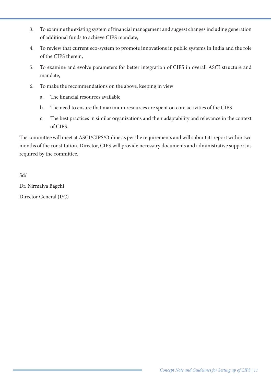- 3. To examine the existing system of financial management and suggest changes including generation of additional funds to achieve CIPS mandate,
- 4. To review that current eco-system to promote innovations in public systems in India and the role of the CIPS therein,
- 5. To examine and evolve parameters for better integration of CIPS in overall ASCI structure and mandate,
- 6. To make the recommendations on the above, keeping in view
	- a. The financial resources available
	- b. The need to ensure that maximum resources are spent on core activities of the CIPS
	- c. The best practices in similar organizations and their adaptability and relevance in the context of CIPS.

The committee will meet at ASCI/CIPS/Online as per the requirements and will submit its report within two months of the constitution. Director, CIPS will provide necessary documents and administrative support as required by the committee.

Sd/

Dr. Nirmalya Bagchi Director General (I/C)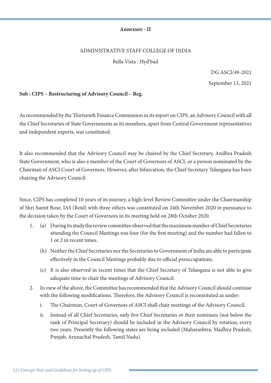#### **Annexure - II**

#### ADMINISTRATIVE STAFF COLLEGE OF INDIA

Bella Vista : Hyd'bad

DG ASCI/49-2021

September 13, 2021

#### **Sub : CIPS – Restructuring of Advisory Council – Reg.**

As recommended by the Thirteenth Finance Commission in its report on CIPS, an Advisory Council with all the Chief Secretaries of State Governments as its members, apart from Central Government representatives and independent experts, was constituted.

It also recommended that the Advisory Council may be chaired by the Chief Secretary, Andhra Pradesh State Government, who is also a member of the Court of Governors of ASCI, or a person nominated by the Chairman of ASCI Court of Governors. However, after bifurcation, the Chief Secretary Telangana has been chairing the Advisory Council.

Since, CIPS has completed 10 years of its journey, a high-level Review Committee under the Chairmanship of Shri Sumit Bose, IAS (Retd) with three others was constituted on 24th November 2020 in pursuance to the decision taken by the Court of Governors in its meeting held on 28th October 2020.

- 1. (a) During its study the review committee observed that the maximum number of Chief Secretaries attending the Council Meetings was four (for the first meeting) and the number had fallen to 1 or 2 in recent times.
	- (b) Neither the Chief Secretaries nor the Secretaries to Government of India are able to participate effectively in the Council Meetings probably due to official preoccupations.
	- (c) It is also observed in recent times that the Chief Secretary of Telangana is not able to give adequate time to chair the meetings of Advisory Council.
- 2. In view of the above, the Committee has recommended that the Advisory Council should continue with the following modifications. Therefore, the Advisory Council is reconstituted as under:
	- i. The Chairman, Court of Governors of ASCI shall chair meetings of the Advisory Council.
	- ii. Instead of all Chief Secretaries, only five Chief Secretaries or their nominees (not below the rank of Principal Secretary) should be included in the Advisory Council by rotation, every two years. Presently the following states are being included (Maharashtra, Madhya Pradesh, Punjab, Arunachal Pradesh, Tamil Nadu)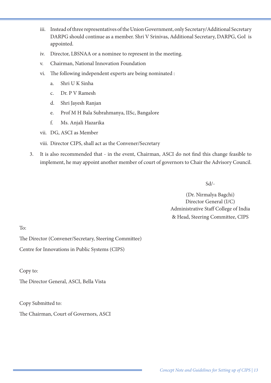- iii. Instead of three representatives of the Union Government, only Secretary/Additional Secretary DARPG should continue as a member. Shri V Srinivas, Additional Secretary, DARPG, GoI is appointed.
- iv. Director, LBSNAA or a nominee to represent in the meeting.
- v. Chairman, National Innovation Foundation
- vi. The following independent experts are being nominated :
	- a. Shri U K Sinha
	- c. Dr. P V Ramesh
	- d. Shri Jayesh Ranjan
	- e. Prof M H Bala Subrahmanya, IISc, Bangalore
	- f. Ms. Anjali Hazarika
- vii. DG, ASCI as Member
- viii. Director CIPS, shall act as the Convener/Secretary
- 3. It is also recommended that in the event, Chairman, ASCI do not find this change feasible to implement, he may appoint another member of court of governors to Chair the Advisory Council.

Sd/-

(Dr. Nirmalya Bagchi) Director General (I/C) Administrative Staff College of India & Head, Steering Committee, CIPS

To:

The Director (Convener/Secretary, Steering Committee)

Centre for Innovations in Public Systems (CIPS)

Copy to:

The Director General, ASCI, Bella Vista

Copy Submitted to:

The Chairman, Court of Governors, ASCI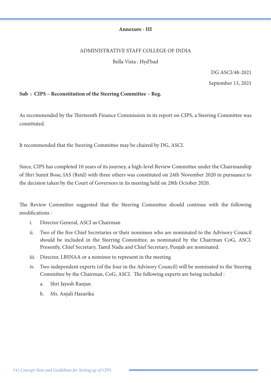#### **Annexure - III**

#### ADMINISTRATIVE STAFF COLLEGE OF INDIA

Bella Vista : Hyd'bad

DG ASCI/48-2021

September 13, 2021

#### **Sub : CIPS – Reconstitution of the Steering Committee – Reg.**

As recommended by the Thirteenth Finance Commission in its report on CIPS, a Steering Committee was constituted.

It recommended that the Steering Committee may be chaired by DG, ASCI.

Since, CIPS has completed 10 years of its journey, a high-level Review Committee under the Chairmanship of Shri Sumit Bose, IAS (Retd) with three others was constituted on 24th November 2020 in pursuance to the decision taken by the Court of Governors in its meeting held on 28th October 2020.

The Review Committee suggested that the Steering Committee should continue with the following modifications :

- i. Director General, ASCI as Chairman
- ii. Two of the five Chief Secretaries or their nominees who are nominated to the Advisory Council should be included in the Steering Committee, as nominated by the Chairman CoG, ASCI. Presently, Chief Secretary, Tamil Nadu and Chief Secretary, Punjab are nominated.
- iii. Director, LBSNAA or a nominee to represent in the meeting
- iv. Two independent experts (of the four in the Advisory Council) will be nominated to the Steering Committee by the Chairman, CoG, ASCI. The following experts are being included :
	- a. Shri Jayesh Ranjan
	- b. Ms. Anjali Hazarika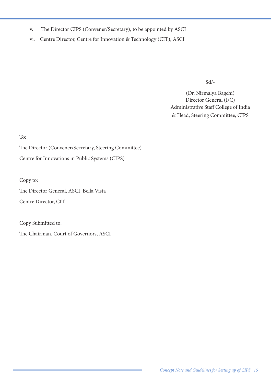- v. The Director CIPS (Convener/Secretary), to be appointed by ASCI
- vi. Centre Director, Centre for Innovation & Technology (CIT), ASCI

Sd/-

(Dr. Nirmalya Bagchi) Director General (I/C) Administrative Staff College of India & Head, Steering Committee, CIPS

To:

The Director (Convener/Secretary, Steering Committee) Centre for Innovations in Public Systems (CIPS)

Copy to:

The Director General, ASCI, Bella Vista

Centre Director, CIT

Copy Submitted to:

The Chairman, Court of Governors, ASCI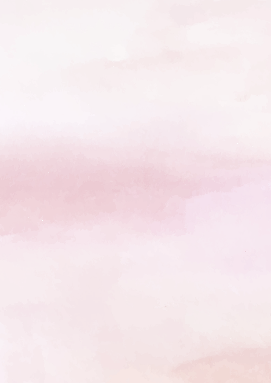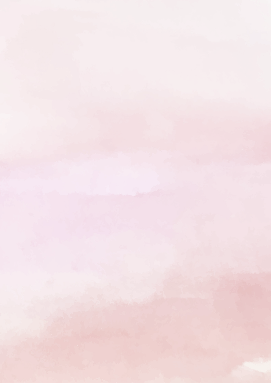